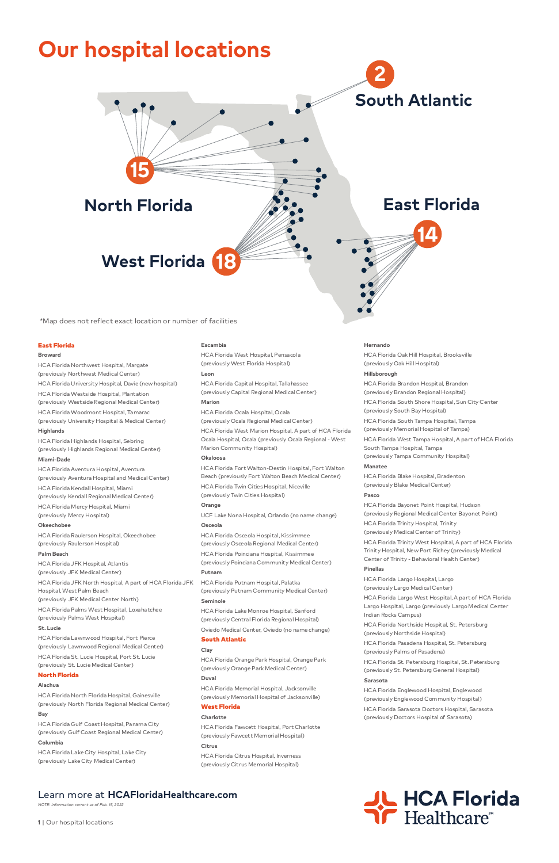## Learn more at **HCAFloridaHealthcare.com**

*NOTE: Information current as of Feb. 15, 2022*

**1** | Our hospital locations



#### East Florida

#### **Broward**

HCA Florida Northwest Hospital, Margate (previously Northwest Medical Center)

HCA Florida University Hospital, Davie (new hospital)

HCA Florida Westside Hospital, Plantation (previously Westside Regional Medical Center)

HCA Florida Woodmont Hospital, Tamarac (previously University Hospital & Medical Center)

#### **Highlands**

HCA Florida Highlands Hospital, Sebring (previously Highlands Regional Medical Center)

## **Miami-Dade**

HCA Florida Aventura Hospital, Aventura (previously Aventura Hospital and Medical Center) HCA Florida Kendall Hospital, Miami (previously Kendall Regional Medical Center) HCA Florida Mercy Hospital, Miami (previously Mercy Hospital)

#### **Okeechobee**

HCA Florida Raulerson Hospital, Okeechobee (previously Raulerson Hospital)

#### **Palm Beach**

HCA Florida JFK Hospital, Atlantis (previously JFK Medical Center) HCA Florida JFK North Hospital, A part of HCA Florida JFK Hospital, West Palm Beach (previously JFK Medical Center North) HCA Florida Palms West Hospital, Loxahatchee (previously Palms West Hospital)

**St. Lucie**

HCA Florida Lawnwood Hospital, Fort Pierce (previously Lawnwood Regional Medical Center) HCA Florida St. Lucie Hospital, Port St. Lucie (previously St. Lucie Medical Center)

#### North Florida

#### **Alachua**

HCA Florida North Florida Hospital, Gainesville (previously North Florida Regional Medical Center)

#### **Bay**

HCA Florida Gulf Coast Hospital, Panama City (previously Gulf Coast Regional Medical Center) **Columbia**

HCA Florida Lake City Hospital, Lake City (previously Lake City Medical Center)

#### **Escambia**

HCA Florida West Hospital, Pensacola (previously West Florida Hospital)

#### **Leon**

HCA Florida Capital Hospital, Tallahassee (previously Capital Regional Medical Center)

### **Marion**

HCA Florida Ocala Hospital, Ocala (previously Ocala Regional Medical Center) HCA Florida West Marion Hospital, A part of HCA Florida Ocala Hospital, Ocala (previously Ocala Regional - West Marion Community Hospital)

#### **Okaloosa**

HCA Florida Northside Hospital, St. Petersburg iously Northside Hospital)

HCA Florida Fort Walton-Destin Hospital, Fort Walton Beach (previously Fort Walton Beach Medical Center) HCA Florida Twin Cities Hospital, Niceville (previously Twin Cities Hospital)

## **Orange**

UCF Lake Nona Hospital, Orlando (no name change) **Osceola**

HCA Florida Osceola Hospital, Kissimmee (previously Osceola Regional Medical Center) HCA Florida Poinciana Hospital, Kissimmee (previously Poinciana Community Medical Center)

#### **Putnam**

HCA Florida Putnam Hospital, Palatka (previously Putnam Community Medical Center) **Seminole**

HCA Florida Lake Monroe Hospital, Sanford (previously Central Florida Regional Hospital) Oviedo Medical Center, Oviedo (no name change)

#### South Atlantic

#### **Clay**

HCA Florida Orange Park Hospital, Orange Park (previously Orange Park Medical Center)

#### **Duval**

HCA Florida Memorial Hospital, Jacksonville (previously Memorial Hospital of Jacksonville)

#### West Florida

#### **Charlotte**

HCA Florida Fawcett Hospital, Port Charlotte (previously Fawcett Memorial Hospital)

#### **Citrus**

HCA Florida Citrus Hospital, Inverness (previously Citrus Memorial Hospital)

#### **Hernando**

HCA Florida Oak Hill Hospital, Brooksville (previously Oak Hill Hospital)

#### **Hillsborough**

HCA Florida Brandon Hospital, Brandon (previously Brandon Regional Hospital) HCA Florida South Shore Hospital, Sun City Center (previously South Bay Hospital) HCA Florida South Tampa Hospital, Tampa (previously Memorial Hospital of Tampa) HCA Florida West Tampa Hospital, A part of HCA Florida South Tampa Hospital, Tampa

(previously Tampa Community Hospital)

#### **Manatee**

HCA Florida Blake Hospital, Bradenton (previously Blake Medical Center)

#### **Pasco**

HCA Florida Bayonet Point Hospital, Hudson (previously Regional Medical Center Bayonet Point) HCA Florida Trinity Hospital, Trinity (previously Medical Center of Trinity) HCA Florida Trinity West Hospital, A part of HCA Florida Trinity Hospital, New Port Richey (previously Medical Center of Trinity - Behavioral Health Center)

#### **Pinellas**

HCA Florida Largo Hospital, Largo (previously Largo Medical Center)

HCA Florida Largo West Hospital, A part of HCA Florida Largo Hospital, Largo (previously Largo Medical Center Indian Rocks Campus)

HCA Florida Pasadena Hospital, St. Petersburg (previously Palms of Pasadena)

HCA Florida St. Petersburg Hospital, St. Petersburg (previously St. Petersburg General Hospital)

#### **Sarasota**

HCA Florida Englewood Hospital, Englewood (previously Englewood Community Hospital) HCA Florida Sarasota Doctors Hospital, Sarasota (previously Doctors Hospital of Sarasota)



\*Map does not reflect exact location or number of facilities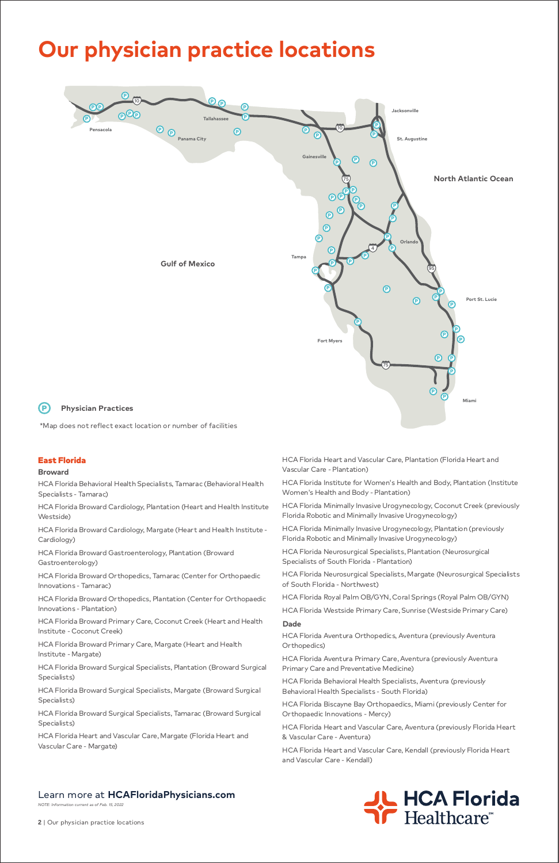*NOTE: Information current as of Feb. 15, 2022*

**2** | Our physician practice locations



## East Florida

#### **Broward**

HCA Florida Behavioral Health Specialists, Tamarac (Behavioral Health Specialists - Tamarac)

HCA Florida Broward Cardiology, Plantation (Heart and Health Institute Westside)

HCA Florida Broward Cardiology, Margate (Heart and Health Institute - Cardiology)

HCA Florida Broward Gastroenterology, Plantation (Broward Gastroenterology)

HCA Florida Broward Orthopedics, Tamarac (Center for Orthopaedic Innovations - Tamarac)

HCA Florida Broward Orthopedics, Plantation (Center for Orthopaedic Innovations - Plantation)

HCA Florida Broward Primary Care, Coconut Creek (Heart and Health Institute - Coconut Creek)

HCA Florida Broward Primary Care, Margate (Heart and Health Institute - Margate)

HCA Florida Broward Surgical Specialists, Plantation (Broward Surgical Specialists)

HCA Florida Broward Surgical Specialists, Margate (Broward Surgical Specialists)

HCA Florida Broward Surgical Specialists, Tamarac (Broward Surgical Specialists)

HCA Florida Heart and Vascular Care, Margate (Florida Heart and Vascular Care - Margate)

HCA Florida Heart and Vascular Care, Plantation (Florida Heart and Vascular Care - Plantation)

HCA Florida Institute for Women's Health and Body, Plantation (Institute Women's Health and Body - Plantation)

HCA Florida Minimally Invasive Urogynecology, Coconut Creek (previously Florida Robotic and Minimally Invasive Urogynecology)

HCA Florida Minimally Invasive Urogynecology, Plantation (previously Florida Robotic and Minimally Invasive Urogynecology)

HCA Florida Neurosurgical Specialists, Plantation (Neurosurgical Specialists of South Florida - Plantation)

HCA Florida Neurosurgical Specialists, Margate (Neurosurgical Specialists of South Florida - Northwest)

HCA Florida Royal Palm OB/GYN, Coral Springs (Royal Palm OB/GYN)

HCA Florida Westside Primary Care, Sunrise (Westside Primary Care) **Dade**

HCA Florida Aventura Orthopedics, Aventura (previously Aventura Orthopedics)

HCA Florida Aventura Primary Care, Aventura (previously Aventura Primary Care and Preventative Medicine)

HCA Florida Behavioral Health Specialists, Aventura (previously Behavioral Health Specialists - South Florida)

HCA Florida Biscayne Bay Orthopaedics, Miami (previously Center for Orthopaedic Innovations - Mercy)

HCA Florida Heart and Vascular Care, Aventura (previously Florida Heart & Vascular Care - Aventura)

HCA Florida Heart and Vascular Care, Kendall (previously Florida Heart and Vascular Care - Kendall)

\*Map does not reflect exact location or number of facilities

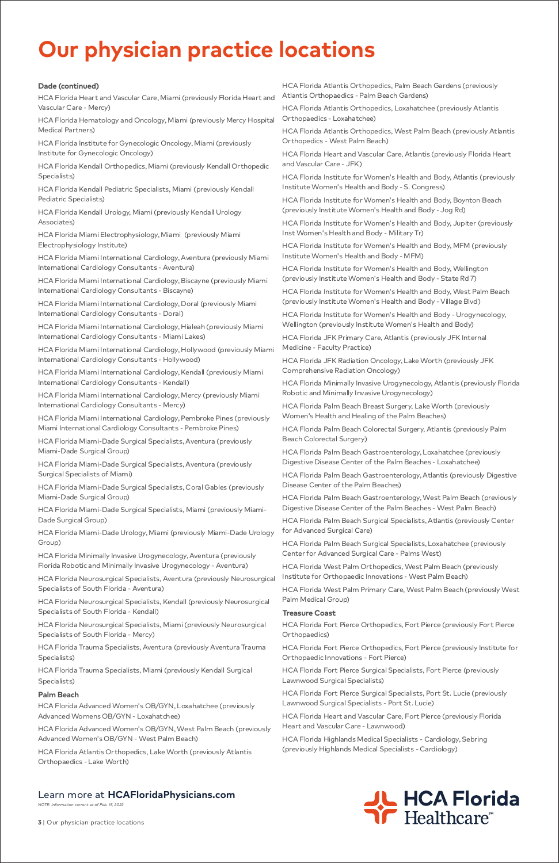*NOTE: Information current as of Feb. 15, 2022*

**3** | Our physician practice locations



## **Dade (continued)**

HCA Florida Heart and Vascular Care, Miami (previously Florida Heart and Vascular Care - Mercy)

HCA Florida Hematology and Oncology, Miami (previously Mercy Hospital Medical Partners)

HCA Florida Institute for Gynecologic Oncology, Miami (previously Institute for Gynecologic Oncology)

HCA Florida Kendall Orthopedics, Miami (previously Kendall Orthopedic Specialists)

HCA Florida Kendall Pediatric Specialists, Miami (previously Kendall Pediatric Specialists)

HCA Florida Kendall Urology, Miami (previously Kendall Urology Associates)

HCA Florida Miami Electrophysiology, Miami (previously Miami Electrophysiology Institute)

HCA Florida Miami International Cardiology, Aventura (previously Miami International Cardiology Consultants - Aventura)

HCA Florida Miami International Cardiology, Biscayne (previously Miami International Cardiology Consultants - Biscayne)

HCA Florida Miami International Cardiology, Doral (previously Miami International Cardiology Consultants - Doral)

HCA Florida Miami International Cardiology, Hialeah (previously Miami International Cardiology Consultants - Miami Lakes)

HCA Florida Miami International Cardiology, Hollywood (previously Miami International Cardiology Consultants - Hollywood)

HCA Florida Miami International Cardiology, Kendall (previously Miami International Cardiology Consultants - Kendall)

HCA Florida Miami International Cardiology, Mercy (previously Miami International Cardiology Consultants - Mercy)

HCA Florida Miami International Cardiology, Pembroke Pines (previously Miami International Cardiology Consultants - Pembroke Pines)

HCA Florida Miami-Dade Surgical Specialists, Aventura (previously Miami-Dade Surgical Group)

HCA Florida Miami-Dade Surgical Specialists, Aventura (previously Surgical Specialists of Miami)

HCA Florida Miami-Dade Surgical Specialists, Coral Gables (previously Miami-Dade Surgical Group)

HCA Florida Miami-Dade Surgical Specialists, Miami (previously Miami-Dade Surgical Group)

HCA Florida Miami-Dade Urology, Miami (previously Miami-Dade Urology Group)

HCA Florida Minimally Invasive Urogynecology, Aventura (previously Florida Robotic and Minimally Invasive Urogynecology - Aventura)

HCA Florida Neurosurgical Specialists, Aventura (previously Neurosurgical Specialists of South Florida - Aventura)

HCA Florida Neurosurgical Specialists, Kendall (previously Neurosurgical Specialists of South Florida - Kendall)

HCA Florida Neurosurgical Specialists, Miami (previously Neurosurgical

Specialists of South Florida - Mercy)

HCA Florida Trauma Specialists, Aventura (previously Aventura Trauma Specialists)

HCA Florida Trauma Specialists, Miami (previously Kendall Surgical Specialists)

## **Palm Beach**

HCA Florida Advanced Women's OB/GYN, Loxahatchee (previously Advanced Womens OB/GYN - Loxahatchee)

HCA Florida Advanced Women's OB/GYN, West Palm Beach (previously Advanced Women's OB/GYN - West Palm Beach)

HCA Florida Atlantis Orthopedics, Lake Worth (previously Atlantis Orthopaedics - Lake Worth)

HCA Florida Atlantis Orthopedics, Palm Beach Gardens (previously Atlantis Orthopaedics - Palm Beach Gardens)

HCA Florida Atlantis Orthopedics, Loxahatchee (previously Atlantis Orthopaedics - Loxahatchee)

HCA Florida Atlantis Orthopedics, West Palm Beach (previously Atlantis Orthopedics - West Palm Beach)

HCA Florida Heart and Vascular Care, Atlantis (previously Florida Heart and Vascular Care - JFK)

HCA Florida Institute for Women's Health and Body, Atlantis (previously Institute Women's Health and Body - S. Congress)

HCA Florida Institute for Women's Health and Body, Boynton Beach (previously Institute Women's Health and Body - Jog Rd)

HCA Florida Institute for Women's Health and Body, Jupiter (previously Inst Women's Health and Body - Military Tr)

HCA Florida Institute for Women's Health and Body, MFM (previously Institute Women's Health and Body - MFM)

HCA Florida Institute for Women's Health and Body, Wellington (previously Institute Women's Health and Body - State Rd 7)

HCA Florida Institute for Women's Health and Body, West Palm Beach (previously Institute Women's Health and Body - Village Blvd)

HCA Florida Institute for Women's Health and Body - Urogynecology, Wellington (previously Institute Women's Health and Body)

HCA Florida JFK Primary Care, Atlantis (previously JFK Internal Medicine - Faculty Practice)

HCA Florida JFK Radiation Oncology, Lake Worth (previously JFK Comprehensive Radiation Oncology)

HCA Florida Minimally Invasive Urogynecology, Atlantis (previously Florida Robotic and Minimally Invasive Urogynecology)

HCA Florida Palm Beach Breast Surgery, Lake Worth (previously Women's Health and Healing of the Palm Beaches)

HCA Florida Palm Beach Colorectal Surgery, Atlantis (previously Palm Beach Colorectal Surgery)

HCA Florida Palm Beach Gastroenterology, Loxahatchee (previously Digestive Disease Center of the Palm Beaches - Loxahatchee)

HCA Florida Palm Beach Gastroenterology, Atlantis (previously Digestive Disease Center of the Palm Beaches)

HCA Florida Palm Beach Gastroenterology, West Palm Beach (previously Digestive Disease Center of the Palm Beaches - West Palm Beach)

HCA Florida Palm Beach Surgical Specialists, Atlantis (previously Center for Advanced Surgical Care)

HCA Florida Palm Beach Surgical Specialists, Loxahatchee (previously Center for Advanced Surgical Care - Palms West)

HCA Florida West Palm Orthopedics, West Palm Beach (previously Institute for Orthopaedic Innovations - West Palm Beach)

HCA Florida West Palm Primary Care, West Palm Beach (previously West Palm Medical Group)

## **Treasure Coast**

HCA Florida Fort Pierce Orthopedics, Fort Pierce (previously Fort Pierce

#### Orthopaedics)

HCA Florida Fort Pierce Orthopedics, Fort Pierce (previously Institute for Orthopaedic Innovations - Fort Pierce)

HCA Florida Fort Pierce Surgical Specialists, Fort Pierce (previously Lawnwood Surgical Specialists)

HCA Florida Fort Pierce Surgical Specialists, Port St. Lucie (previously Lawnwood Surgical Specialists - Port St. Lucie)

HCA Florida Heart and Vascular Care, Fort Pierce (previously Florida Heart and Vascular Care - Lawnwood)

HCA Florida Highlands Medical Specialists - Cardiology, Sebring (previously Highlands Medical Specialists - Cardiology)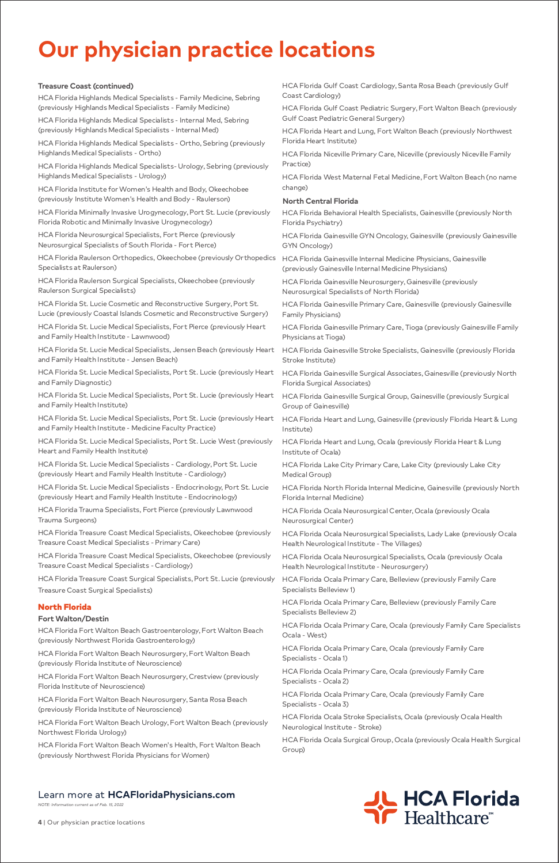*NOTE: Information current as of Feb. 15, 2022*

**4** | Our physician practice locations



## **Treasure Coast (continued)**

HCA Florida Highlands Medical Specialists - Family Medicine, Sebring (previously Highlands Medical Specialists - Family Medicine)

HCA Florida Highlands Medical Specialists - Internal Med, Sebring (previously Highlands Medical Specialists - Internal Med)

HCA Florida Highlands Medical Specialists - Ortho, Sebring (previously Highlands Medical Specialists - Ortho)

HCA Florida Highlands Medical Specialists- Urology, Sebring (previously Highlands Medical Specialists - Urology)

HCA Florida Institute for Women's Health and Body, Okeechobee (previously Institute Women's Health and Body - Raulerson)

HCA Florida Minimally Invasive Urogynecology, Port St. Lucie (previously Florida Robotic and Minimally Invasive Urogynecology)

HCA Florida Neurosurgical Specialists, Fort Pierce (previously Neurosurgical Specialists of South Florida - Fort Pierce)

HCA Florida Raulerson Orthopedics, Okeechobee (previously Orthopedics Specialists at Raulerson)

HCA Florida Raulerson Surgical Specialists, Okeechobee (previously Raulerson Surgical Specialists)

HCA Florida St. Lucie Cosmetic and Reconstructive Surgery, Port St. Lucie (previously Coastal Islands Cosmetic and Reconstructive Surgery)

HCA Florida St. Lucie Medical Specialists, Fort Pierce (previously Heart and Family Health Institute - Lawnwood)

HCA Florida St. Lucie Medical Specialists, Jensen Beach (previously Heart and Family Health Institute - Jensen Beach)

HCA Florida St. Lucie Medical Specialists, Port St. Lucie (previously Heart and Family Diagnostic)

HCA Florida St. Lucie Medical Specialists, Port St. Lucie (previously Heart and Family Health Institute)

HCA Florida St. Lucie Medical Specialists, Port St. Lucie (previously Heart and Family Health Institute - Medicine Faculty Practice)

HCA Florida St. Lucie Medical Specialists, Port St. Lucie West (previously Heart and Family Health Institute)

HCA Florida St. Lucie Medical Specialists - Cardiology, Port St. Lucie (previously Heart and Family Health Institute - Cardiology)

HCA Florida St. Lucie Medical Specialists - Endocrinology, Port St. Lucie (previously Heart and Family Health Institute - Endocrinology)

HCA Florida Trauma Specialists, Fort Pierce (previously Lawnwood Trauma Surgeons)

HCA Florida Treasure Coast Medical Specialists, Okeechobee (previously Treasure Coast Medical Specialists - Primary Care)

HCA Florida Treasure Coast Medical Specialists, Okeechobee (previously Treasure Coast Medical Specialists - Cardiology)

HCA Florida Treasure Coast Surgical Specialists, Port St. Lucie (previously Treasure Coast Surgical Specialists)

## North Florida

## **Fort Walton/Destin**

HCA Florida Fort Walton Beach Gastroenterology, Fort Walton Beach

(previously Northwest Florida Gastroenterology)

HCA Florida Fort Walton Beach Neurosurgery, Fort Walton Beach (previously Florida Institute of Neuroscience)

HCA Florida Fort Walton Beach Neurosurgery, Crestview (previously Florida Institute of Neuroscience)

HCA Florida Fort Walton Beach Neurosurgery, Santa Rosa Beach (previously Florida Institute of Neuroscience)

HCA Florida Fort Walton Beach Urology, Fort Walton Beach (previously Northwest Florida Urology)

HCA Florida Fort Walton Beach Women's Health, Fort Walton Beach (previously Northwest Florida Physicians for Women)

HCA Florida Gulf Coast Cardiology, Santa Rosa Beach (previously Gulf Coast Cardiology)

HCA Florida Gulf Coast Pediatric Surgery, Fort Walton Beach (previously Gulf Coast Pediatric General Surgery)

HCA Florida Heart and Lung, Fort Walton Beach (previously Northwest Florida Heart Institute)

HCA Florida Niceville Primary Care, Niceville (previously Niceville Family Practice)

HCA Florida West Maternal Fetal Medicine, Fort Walton Beach (no name change)

## **North Central Florida**

HCA Florida Behavioral Health Specialists, Gainesville (previously North Florida Psychiatry)

HCA Florida Gainesville GYN Oncology, Gainesville (previously Gainesville GYN Oncology)

HCA Florida Gainesville Internal Medicine Physicians, Gainesville (previously Gainesville Internal Medicine Physicians)

HCA Florida Gainesville Neurosurgery, Gainesville (previously Neurosurgical Specialists of North Florida)

HCA Florida Gainesville Primary Care, Gainesville (previously Gainesville Family Physicians)

HCA Florida Gainesville Primary Care, Tioga (previously Gainesville Family Physicians at Tioga)

HCA Florida Gainesville Stroke Specialists, Gainesville (previously Florida Stroke Institute)

HCA Florida Gainesville Surgical Associates, Gainesville (previously North Florida Surgical Associates)

HCA Florida Gainesville Surgical Group, Gainesville (previously Surgical Group of Gainesville)

HCA Florida Heart and Lung, Gainesville (previously Florida Heart & Lung Institute)

HCA Florida Heart and Lung, Ocala (previously Florida Heart & Lung Institute of Ocala)

HCA Florida Lake City Primary Care, Lake City (previously Lake City Medical Group)

HCA Florida North Florida Internal Medicine, Gainesville (previously North Florida Internal Medicine)

HCA Florida Ocala Neurosurgical Center, Ocala (previously Ocala Neurosurgical Center)

HCA Florida Ocala Neurosurgical Specialists, Lady Lake (previously Ocala Health Neurological Institute - The Villages)

HCA Florida Ocala Neurosurgical Specialists, Ocala (previously Ocala Health Neurological Institute - Neurosurgery)

HCA Florida Ocala Primary Care, Belleview (previously Family Care Specialists Belleview 1)

HCA Florida Ocala Primary Care, Belleview (previously Family Care Specialists Belleview 2)

HCA Florida Ocala Primary Care, Ocala (previously Family Care Specialists Ocala - West)

HCA Florida Ocala Primary Care, Ocala (previously Family Care Specialists - Ocala 1)

HCA Florida Ocala Primary Care, Ocala (previously Family Care Specialists - Ocala 2)

HCA Florida Ocala Primary Care, Ocala (previously Family Care Specialists - Ocala 3)

HCA Florida Ocala Stroke Specialists, Ocala (previously Ocala Health Neurological Institute - Stroke)

HCA Florida Ocala Surgical Group, Ocala (previously Ocala Health Surgical Group)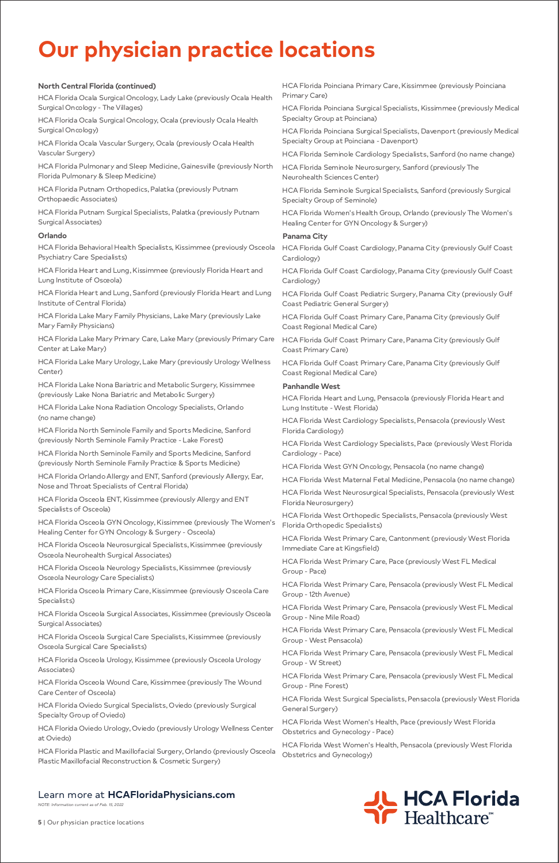*NOTE: Information current as of Feb. 15, 2022*

**5** | Our physician practice locations

## **North Central Florida (continued)**

HCA Florida Ocala Surgical Oncology, Lady Lake (previously Ocala Health Surgical Oncology - The Villages)

HCA Florida Ocala Surgical Oncology, Ocala (previously Ocala Health Surgical Oncology)

HCA Florida Ocala Vascular Surgery, Ocala (previously Ocala Health Vascular Surgery)

HCA Florida Pulmonary and Sleep Medicine, Gainesville (previously North Florida Pulmonary & Sleep Medicine)

HCA Florida Putnam Orthopedics, Palatka (previously Putnam Orthopaedic Associates)

HCA Florida Putnam Surgical Specialists, Palatka (previously Putnam Surgical Associates)

## **Orlando**

HCA Florida Behavioral Health Specialists, Kissimmee (previously Osceola Psychiatry Care Specialists)

HCA Florida Heart and Lung, Kissimmee (previously Florida Heart and Lung Institute of Osceola)

HCA Florida Heart and Lung, Sanford (previously Florida Heart and Lung Institute of Central Florida)

HCA Florida Lake Mary Family Physicians, Lake Mary (previously Lake Mary Family Physicians)

HCA Florida Lake Mary Primary Care, Lake Mary (previously Primary Care Center at Lake Mary)

HCA Florida Lake Mary Urology, Lake Mary (previously Urology Wellness Center)

HCA Florida Lake Nona Bariatric and Metabolic Surgery, Kissimmee (previously Lake Nona Bariatric and Metabolic Surgery)

HCA Florida Lake Nona Radiation Oncology Specialists, Orlando (no name change)

HCA Florida North Seminole Family and Sports Medicine, Sanford (previously North Seminole Family Practice - Lake Forest)

HCA Florida North Seminole Family and Sports Medicine, Sanford (previously North Seminole Family Practice & Sports Medicine)

HCA Florida Orlando Allergy and ENT, Sanford (previously Allergy, Ear, Nose and Throat Specialists of Central Florida)

HCA Florida Osceola ENT, Kissimmee (previously Allergy and ENT Specialists of Osceola)

HCA Florida Osceola GYN Oncology, Kissimmee (previously The Women's Healing Center for GYN Oncology & Surgery - Osceola)

HCA Florida Osceola Neurosurgical Specialists, Kissimmee (previously Osceola Neurohealth Surgical Associates)

HCA Florida Osceola Neurology Specialists, Kissimmee (previously Osceola Neurology Care Specialists)

HCA Florida Osceola Primary Care, Kissimmee (previously Osceola Care Specialists)

HCA Florida Osceola Surgical Associates, Kissimmee (previously Osceola Surgical Associates)

HCA Florida Osceola Surgical Care Specialists, Kissimmee (previously Osceola Surgical Care Specialists)

HCA Florida Osceola Urology, Kissimmee (previously Osceola Urology Associates)

HCA Florida Osceola Wound Care, Kissimmee (previously The Wound Care Center of Osceola)

HCA Florida Oviedo Surgical Specialists, Oviedo (previously Surgical Specialty Group of Oviedo)

HCA Florida Oviedo Urology, Oviedo (previously Urology Wellness Center at Oviedo)

HCA Florida Plastic and Maxillofacial Surgery, Orlando (previously Osceola Plastic Maxillofacial Reconstruction & Cosmetic Surgery)

HCA Florida Poinciana Primary Care, Kissimmee (previously Poinciana Primary Care)

HCA Florida Poinciana Surgical Specialists, Kissimmee (previously Medical Specialty Group at Poinciana)

HCA Florida Poinciana Surgical Specialists, Davenport (previously Medical Specialty Group at Poinciana - Davenport)

HCA Florida Seminole Cardiology Specialists, Sanford (no name change)

HCA Florida Seminole Neurosurgery, Sanford (previously The Neurohealth Sciences Center)

HCA Florida Seminole Surgical Specialists, Sanford (previously Surgical Specialty Group of Seminole)

HCA Florida Women's Health Group, Orlando (previously The Women's Healing Center for GYN Oncology & Surgery)

## **Panama City**

HCA Florida Gulf Coast Cardiology, Panama City (previously Gulf Coast Cardiology)

HCA Florida Gulf Coast Cardiology, Panama City (previously Gulf Coast Cardiology)

HCA Florida Gulf Coast Pediatric Surgery, Panama City (previously Gulf Coast Pediatric General Surgery)

HCA Florida Gulf Coast Primary Care, Panama City (previously Gulf Coast Regional Medical Care)

HCA Florida Gulf Coast Primary Care, Panama City (previously Gulf Coast Primary Care)

HCA Florida Gulf Coast Primary Care, Panama City (previously Gulf Coast Regional Medical Care)

## **Panhandle West**

HCA Florida Heart and Lung, Pensacola (previously Florida Heart and Lung Institute - West Florida)

HCA Florida West Cardiology Specialists, Pensacola (previously West Florida Cardiology)

HCA Florida West Cardiology Specialists, Pace (previously West Florida Cardiology - Pace)

HCA Florida West GYN Oncology, Pensacola (no name change)

HCA Florida West Maternal Fetal Medicine, Pensacola (no name change)

HCA Florida West Neurosurgical Specialists, Pensacola (previously West Florida Neurosurgery)

HCA Florida West Orthopedic Specialists, Pensacola (previously West Florida Orthopedic Specialists)

HCA Florida West Primary Care, Cantonment (previously West Florida Immediate Care at Kingsfield)

HCA Florida West Primary Care, Pace (previously West FL Medical Group - Pace)

HCA Florida West Primary Care, Pensacola (previously West FL Medical Group - 12th Avenue)

HCA Florida West Primary Care, Pensacola (previously West FL Medical Group - Nine Mile Road)

HCA Florida West Primary Care, Pensacola (previously West FL Medical

Group - West Pensacola)

HCA Florida West Primary Care, Pensacola (previously West FL Medical Group - W Street)

HCA Florida West Primary Care, Pensacola (previously West FL Medical Group - Pine Forest)

HCA Florida West Surgical Specialists, Pensacola (previously West Florida General Surgery)

HCA Florida West Women's Health, Pace (previously West Florida Obstetrics and Gynecology - Pace)

HCA Florida West Women's Health, Pensacola (previously West Florida Obstetrics and Gynecology)

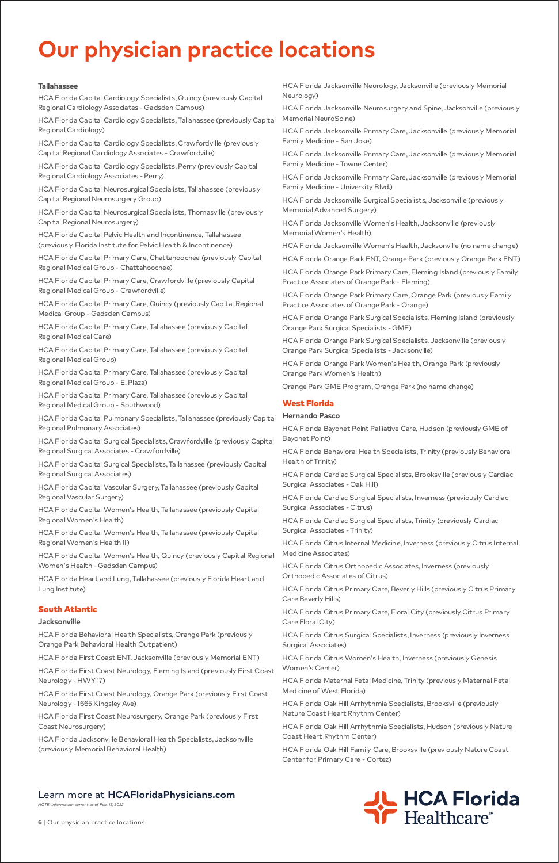*NOTE: Information current as of Feb. 15, 2022*

**6** | Our physician practice locations



## **Tallahassee**

HCA Florida Capital Cardiology Specialists, Quincy (previously Capital Regional Cardiology Associates - Gadsden Campus)

HCA Florida Capital Cardiology Specialists, Tallahassee (previously Capital Regional Cardiology)

HCA Florida Capital Cardiology Specialists, Crawfordville (previously Capital Regional Cardiology Associates - Crawfordville)

HCA Florida Capital Cardiology Specialists, Perry (previously Capital Regional Cardiology Associates - Perry)

HCA Florida Capital Neurosurgical Specialists, Tallahassee (previously Capital Regional Neurosurgery Group)

HCA Florida Capital Neurosurgical Specialists, Thomasville (previously Capital Regional Neurosurgery)

HCA Florida Capital Pelvic Health and Incontinence, Tallahassee (previously Florida Institute for Pelvic Health & Incontinence)

HCA Florida Capital Primary Care, Chattahoochee (previously Capital Regional Medical Group - Chattahoochee)

HCA Florida Capital Primary Care, Crawfordville (previously Capital Regional Medical Group - Crawfordville)

HCA Florida Capital Primary Care, Quincy (previously Capital Regional Medical Group - Gadsden Campus)

HCA Florida Capital Primary Care, Tallahassee (previously Capital Regional Medical Care)

HCA Florida Capital Primary Care, Tallahassee (previously Capital Regional Medical Group)

HCA Florida Capital Primary Care, Tallahassee (previously Capital Regional Medical Group - E. Plaza)

HCA Florida Capital Primary Care, Tallahassee (previously Capital Regional Medical Group - Southwood)

HCA Florida Capital Pulmonary Specialists, Tallahassee (previously Capital Regional Pulmonary Associates)

HCA Florida Capital Surgical Specialists, Crawfordville (previously Capital Regional Surgical Associates - Crawfordville)

HCA Florida Capital Surgical Specialists, Tallahassee (previously Capital Regional Surgical Associates)

HCA Florida Capital Vascular Surgery, Tallahassee (previously Capital Regional Vascular Surgery)

HCA Florida Capital Women's Health, Tallahassee (previously Capital Regional Women's Health)

HCA Florida Capital Women's Health, Tallahassee (previously Capital Regional Women's Health II)

HCA Florida Capital Women's Health, Quincy (previously Capital Regional Women's Health - Gadsden Campus)

HCA Florida Heart and Lung, Tallahassee (previously Florida Heart and Lung Institute)

## South Atlantic

### **Jacksonville**

HCA Florida Behavioral Health Specialists, Orange Park (previously Orange Park Behavioral Health Outpatient)

HCA Florida First Coast ENT, Jacksonville (previously Memorial ENT)

HCA Florida First Coast Neurology, Fleming Island (previously First Coast Neurology - HWY 17)

HCA Florida First Coast Neurology, Orange Park (previously First Coast Neurology - 1665 Kingsley Ave)

HCA Florida First Coast Neurosurgery, Orange Park (previously First Coast Neurosurgery)

HCA Florida Jacksonville Behavioral Health Specialists, Jacksonville (previously Memorial Behavioral Health)

HCA Florida Jacksonville Neurology, Jacksonville (previously Memorial Neurology)

HCA Florida Jacksonville Neurosurgery and Spine, Jacksonville (previously Memorial NeuroSpine)

HCA Florida Jacksonville Primary Care, Jacksonville (previously Memorial Family Medicine - San Jose)

HCA Florida Jacksonville Primary Care, Jacksonville (previously Memorial Family Medicine - Towne Center)

HCA Florida Jacksonville Primary Care, Jacksonville (previously Memorial Family Medicine - University Blvd.)

HCA Florida Jacksonville Surgical Specialists, Jacksonville (previously Memorial Advanced Surgery)

HCA Florida Jacksonville Women's Health, Jacksonville (previously Memorial Women's Health)

HCA Florida Jacksonville Women's Health, Jacksonville (no name change)

HCA Florida Orange Park ENT, Orange Park (previously Orange Park ENT)

HCA Florida Orange Park Primary Care, Fleming Island (previously Family Practice Associates of Orange Park - Fleming)

HCA Florida Orange Park Primary Care, Orange Park (previously Family Practice Associates of Orange Park - Orange)

HCA Florida Orange Park Surgical Specialists, Fleming Island (previously Orange Park Surgical Specialists - GME)

HCA Florida Orange Park Surgical Specialists, Jacksonville (previously Orange Park Surgical Specialists - Jacksonville)

HCA Florida Orange Park Women's Health, Orange Park (previously Orange Park Women's Health)

Orange Park GME Program, Orange Park (no name change)

## West Florida

## **Hernando Pasco**

HCA Florida Bayonet Point Palliative Care, Hudson (previously GME of Bayonet Point)

HCA Florida Behavioral Health Specialists, Trinity (previously Behavioral Health of Trinity)

HCA Florida Cardiac Surgical Specialists, Brooksville (previously Cardiac Surgical Associates - Oak Hill)

HCA Florida Cardiac Surgical Specialists, Inverness (previously Cardiac Surgical Associates - Citrus)

HCA Florida Cardiac Surgical Specialists, Trinity (previously Cardiac Surgical Associates - Trinity)

HCA Florida Citrus Internal Medicine, Inverness (previously Citrus Internal Medicine Associates)

HCA Florida Citrus Orthopedic Associates, Inverness (previously Orthopedic Associates of Citrus)

HCA Florida Citrus Primary Care, Beverly Hills (previously Citrus Primary Care Beverly Hills)

HCA Florida Citrus Primary Care, Floral City (previously Citrus Primary Care Floral City)

HCA Florida Citrus Surgical Specialists, Inverness (previously Inverness Surgical Associates)

HCA Florida Citrus Women's Health, Inverness (previously Genesis Women's Center)

HCA Florida Maternal Fetal Medicine, Trinity (previously Maternal Fetal Medicine of West Florida)

HCA Florida Oak Hill Arrhythmia Specialists, Brooksville (previously Nature Coast Heart Rhythm Center)

HCA Florida Oak Hill Arrhythmia Specialists, Hudson (previously Nature Coast Heart Rhythm Center)

HCA Florida Oak Hill Family Care, Brooksville (previously Nature Coast Center for Primary Care - Cortez)